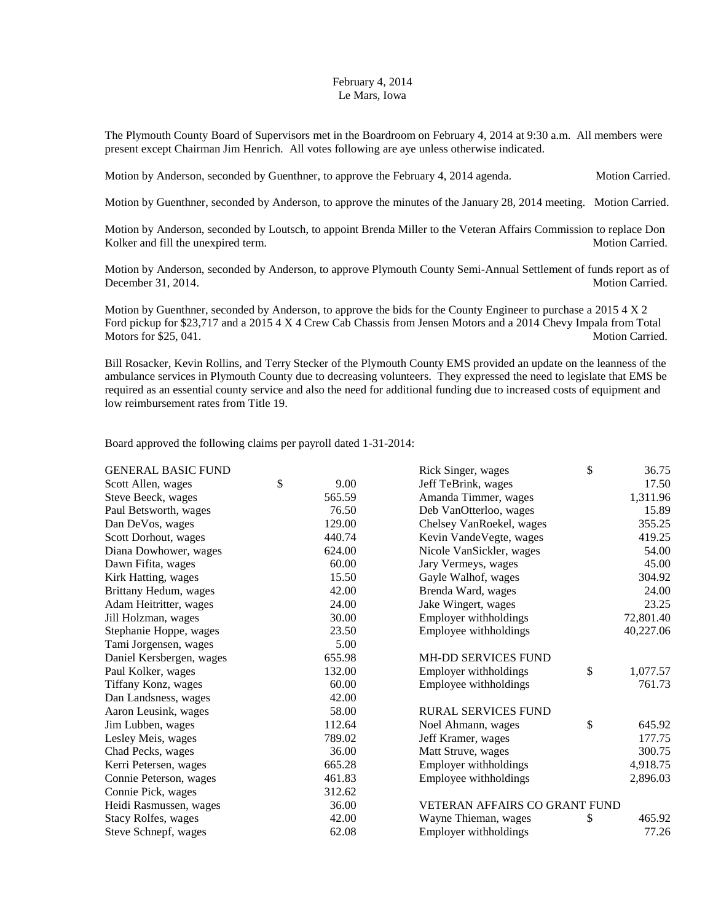## February 4, 2014 Le Mars, Iowa

The Plymouth County Board of Supervisors met in the Boardroom on February 4, 2014 at 9:30 a.m. All members were present except Chairman Jim Henrich. All votes following are aye unless otherwise indicated.

Motion by Anderson, seconded by Guenthner, to approve the February 4, 2014 agenda. Motion Carried.

Motion by Guenthner, seconded by Anderson, to approve the minutes of the January 28, 2014 meeting. Motion Carried.

Motion by Anderson, seconded by Loutsch, to appoint Brenda Miller to the Veteran Affairs Commission to replace Don Kolker and fill the unexpired term. The second second second second second second second second second second second second second second second second second second second second second second second second second second

Motion by Anderson, seconded by Anderson, to approve Plymouth County Semi-Annual Settlement of funds report as of December 31, 2014. Motion Carried.

Motion by Guenthner, seconded by Anderson, to approve the bids for the County Engineer to purchase a 2015 4 X 2 Ford pickup for \$23,717 and a 2015 4 X 4 Crew Cab Chassis from Jensen Motors and a 2014 Chevy Impala from Total Motors for \$25, 041. Motors for \$25, 041.

Bill Rosacker, Kevin Rollins, and Terry Stecker of the Plymouth County EMS provided an update on the leanness of the ambulance services in Plymouth County due to decreasing volunteers. They expressed the need to legislate that EMS be required as an essential county service and also the need for additional funding due to increased costs of equipment and low reimbursement rates from Title 19.

Board approved the following claims per payroll dated 1-31-2014:

| <b>GENERAL BASIC FUND</b>  |            | Rick Singer, wages            | \$ | 36.75     |
|----------------------------|------------|-------------------------------|----|-----------|
| Scott Allen, wages         | \$<br>9.00 | Jeff TeBrink, wages           |    | 17.50     |
| Steve Beeck, wages         | 565.59     | Amanda Timmer, wages          |    | 1,311.96  |
| Paul Betsworth, wages      | 76.50      | Deb VanOtterloo, wages        |    | 15.89     |
| Dan DeVos, wages           | 129.00     | Chelsey VanRoekel, wages      |    | 355.25    |
| Scott Dorhout, wages       | 440.74     | Kevin VandeVegte, wages       |    | 419.25    |
| Diana Dowhower, wages      | 624.00     | Nicole VanSickler, wages      |    | 54.00     |
| Dawn Fifita, wages         | 60.00      | Jary Vermeys, wages           |    | 45.00     |
| Kirk Hatting, wages        | 15.50      | Gayle Walhof, wages           |    | 304.92    |
| Brittany Hedum, wages      | 42.00      | Brenda Ward, wages            |    | 24.00     |
| Adam Heitritter, wages     | 24.00      | Jake Wingert, wages           |    | 23.25     |
| Jill Holzman, wages        | 30.00      | Employer withholdings         |    | 72,801.40 |
| Stephanie Hoppe, wages     | 23.50      | Employee withholdings         |    | 40,227.06 |
| Tami Jorgensen, wages      | 5.00       |                               |    |           |
| Daniel Kersbergen, wages   | 655.98     | <b>MH-DD SERVICES FUND</b>    |    |           |
| Paul Kolker, wages         | 132.00     | Employer withholdings         | \$ | 1,077.57  |
| Tiffany Konz, wages        | 60.00      | Employee withholdings         |    | 761.73    |
| Dan Landsness, wages       | 42.00      |                               |    |           |
| Aaron Leusink, wages       | 58.00      | <b>RURAL SERVICES FUND</b>    |    |           |
| Jim Lubben, wages          | 112.64     | Noel Ahmann, wages            | \$ | 645.92    |
| Lesley Meis, wages         | 789.02     | Jeff Kramer, wages            |    | 177.75    |
| Chad Pecks, wages          | 36.00      | Matt Struve, wages            |    | 300.75    |
| Kerri Petersen, wages      | 665.28     | Employer withholdings         |    | 4,918.75  |
| Connie Peterson, wages     | 461.83     | Employee withholdings         |    | 2,896.03  |
| Connie Pick, wages         | 312.62     |                               |    |           |
| Heidi Rasmussen, wages     | 36.00      | VETERAN AFFAIRS CO GRANT FUND |    |           |
| <b>Stacy Rolfes, wages</b> | 42.00      | Wayne Thieman, wages          | S  | 465.92    |
| Steve Schnepf, wages       | 62.08      | Employer withholdings         |    | 77.26     |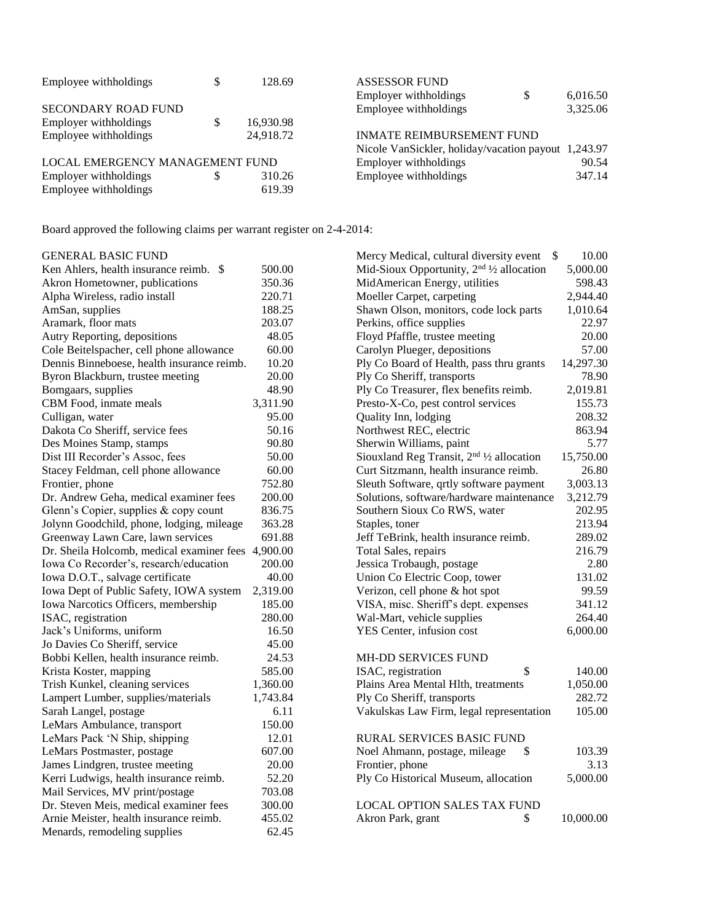| Employee withholdings           |  | 128.69                                        | <b>ASSESSOR FUND</b>                                |    |          |
|---------------------------------|--|-----------------------------------------------|-----------------------------------------------------|----|----------|
|                                 |  |                                               | Employer withholdings                               | \$ | 6,016.50 |
| <b>SECONDARY ROAD FUND</b>      |  |                                               | Employee withholdings                               |    | 3,325.06 |
| Employer withholdings           |  | 16,930.98                                     |                                                     |    |          |
| Employee withholdings           |  | <b>INMATE REIMBURSEMENT FUND</b><br>24.918.72 |                                                     |    |          |
|                                 |  |                                               | Nicole VanSickler, holiday/vacation payout 1,243.97 |    |          |
| LOCAL EMERGENCY MANAGEMENT FUND |  |                                               | Employer withholdings                               |    | 90.54    |
| Employer withholdings           |  | 310.26                                        | Employee withholdings                               |    | 347.14   |
| Employee withholdings           |  | 619.39                                        |                                                     |    |          |

Board approved the following claims per warrant register on 2-4-2014:

| <b>GENERAL BASIC FUND</b>                          |          | Mercy Medical, cultural diversity event \$                         | 10.00     |
|----------------------------------------------------|----------|--------------------------------------------------------------------|-----------|
| Ken Ahlers, health insurance reimb. \$             | 500.00   | Mid-Sioux Opportunity, 2 <sup>nd 1</sup> / <sub>2</sub> allocation | 5,000.00  |
| Akron Hometowner, publications                     | 350.36   | MidAmerican Energy, utilities                                      | 598.43    |
| Alpha Wireless, radio install                      | 220.71   | Moeller Carpet, carpeting                                          | 2,944.40  |
| AmSan, supplies                                    | 188.25   | Shawn Olson, monitors, code lock parts                             | 1,010.64  |
| Aramark, floor mats                                | 203.07   | Perkins, office supplies                                           | 22.97     |
| Autry Reporting, depositions                       | 48.05    | Floyd Pfaffle, trustee meeting                                     | 20.00     |
| Cole Beitelspacher, cell phone allowance           | 60.00    | Carolyn Plueger, depositions                                       | 57.00     |
| Dennis Binneboese, health insurance reimb.         | 10.20    | Ply Co Board of Health, pass thru grants                           | 14,297.30 |
| Byron Blackburn, trustee meeting                   | 20.00    | Ply Co Sheriff, transports                                         | 78.90     |
| Bomgaars, supplies                                 | 48.90    | Ply Co Treasurer, flex benefits reimb.                             | 2,019.81  |
| CBM Food, inmate meals                             | 3,311.90 | Presto-X-Co, pest control services                                 | 155.73    |
| Culligan, water                                    | 95.00    | Quality Inn, lodging                                               | 208.32    |
| Dakota Co Sheriff, service fees                    | 50.16    | Northwest REC, electric                                            | 863.94    |
| Des Moines Stamp, stamps                           | 90.80    | Sherwin Williams, paint                                            | 5.77      |
| Dist III Recorder's Assoc, fees                    | 50.00    | Siouxland Reg Transit, $2nd$ 1/2 allocation                        | 15,750.00 |
| Stacey Feldman, cell phone allowance               | 60.00    | Curt Sitzmann, health insurance reimb.                             | 26.80     |
| Frontier, phone                                    | 752.80   | Sleuth Software, qrtly software payment                            | 3,003.13  |
| Dr. Andrew Geha, medical examiner fees             | 200.00   | Solutions, software/hardware maintenance                           | 3,212.79  |
| Glenn's Copier, supplies & copy count              | 836.75   | Southern Sioux Co RWS, water                                       | 202.95    |
| Jolynn Goodchild, phone, lodging, mileage          | 363.28   | Staples, toner                                                     | 213.94    |
| Greenway Lawn Care, lawn services                  | 691.88   | Jeff TeBrink, health insurance reimb.                              | 289.02    |
| Dr. Sheila Holcomb, medical examiner fees 4,900.00 |          | Total Sales, repairs                                               | 216.79    |
| Iowa Co Recorder's, research/education             | 200.00   | Jessica Trobaugh, postage                                          | 2.80      |
| Iowa D.O.T., salvage certificate                   | 40.00    | Union Co Electric Coop, tower                                      | 131.02    |
| Iowa Dept of Public Safety, IOWA system            | 2,319.00 | Verizon, cell phone & hot spot                                     | 99.59     |
| Iowa Narcotics Officers, membership                | 185.00   | VISA, misc. Sheriff's dept. expenses                               | 341.12    |
| ISAC, registration                                 | 280.00   | Wal-Mart, vehicle supplies                                         | 264.40    |
| Jack's Uniforms, uniform                           | 16.50    | YES Center, infusion cost                                          | 6,000.00  |
| Jo Davies Co Sheriff, service                      | 45.00    |                                                                    |           |
| Bobbi Kellen, health insurance reimb.              | 24.53    | MH-DD SERVICES FUND                                                |           |
| Krista Koster, mapping                             | 585.00   | ISAC, registration<br>\$                                           | 140.00    |
| Trish Kunkel, cleaning services                    | 1,360.00 | Plains Area Mental Hlth, treatments                                | 1,050.00  |
| Lampert Lumber, supplies/materials                 | 1,743.84 | Ply Co Sheriff, transports                                         | 282.72    |
| Sarah Langel, postage                              | 6.11     | Vakulskas Law Firm, legal representation                           | 105.00    |
| LeMars Ambulance, transport                        | 150.00   |                                                                    |           |
| LeMars Pack 'N Ship, shipping                      | 12.01    | <b>RURAL SERVICES BASIC FUND</b>                                   |           |
| LeMars Postmaster, postage                         | 607.00   | Noel Ahmann, postage, mileage<br>\$                                | 103.39    |
| James Lindgren, trustee meeting                    | 20.00    | Frontier, phone                                                    | 3.13      |
| Kerri Ludwigs, health insurance reimb.             | 52.20    | Ply Co Historical Museum, allocation                               | 5,000.00  |
| Mail Services, MV print/postage                    | 703.08   |                                                                    |           |
| Dr. Steven Meis, medical examiner fees             | 300.00   | <b>LOCAL OPTION SALES TAX FUND</b>                                 |           |
| Arnie Meister, health insurance reimb.             | 455.02   | Akron Park, grant<br>\$                                            | 10,000.00 |
| Menards, remodeling supplies                       | 62.45    |                                                                    |           |